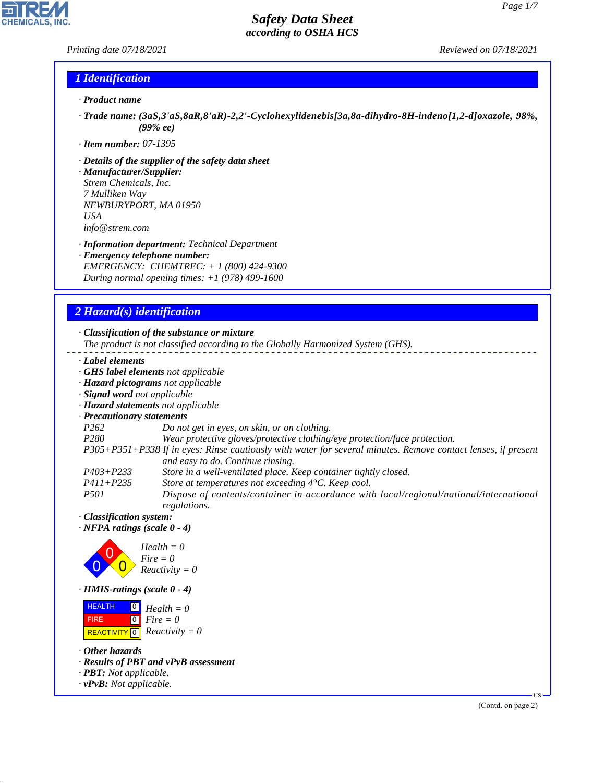## *Printing date 07/18/2021 Reviewed on 07/18/2021*

## *1 Identification*

- *· Product name*
- *· Trade name: (3aS,3'aS,8aR,8'aR)-2,2'-Cyclohexylidenebis[3a,8a-dihydro-8H-indeno[1,2-d]oxazole, 98%, (99% ee)*
- *· Item number: 07-1395*
- *· Details of the supplier of the safety data sheet*
- *· Manufacturer/Supplier: Strem Chemicals, Inc. 7 Mulliken Way NEWBURYPORT, MA 01950 USA info@strem.com*
- *· Information department: Technical Department*
- *· Emergency telephone number: EMERGENCY: CHEMTREC: + 1 (800) 424-9300 During normal opening times: +1 (978) 499-1600*

# *2 Hazard(s) identification*

### *· Classification of the substance or mixture*

*The product is not classified according to the Globally Harmonized System (GHS).*

- *· Label elements*
- *· GHS label elements not applicable*
- *· Hazard pictograms not applicable*
- *· Signal word not applicable*
- *· Hazard statements not applicable*
- *· Precautionary statements*

*P262 Do not get in eyes, on skin, or on clothing.*

- *P280 Wear protective gloves/protective clothing/eye protection/face protection.*
- *P305+P351+P338 If in eyes: Rinse cautiously with water for several minutes. Remove contact lenses, if present and easy to do. Continue rinsing.*
- *P403+P233 Store in a well-ventilated place. Keep container tightly closed.*
- *P411+P235 Store at temperatures not exceeding 4°C. Keep cool.*
- *P501 Dispose of contents/container in accordance with local/regional/national/international regulations.*
- *· Classification system:*
- *· NFPA ratings (scale 0 4)*



*· HMIS-ratings (scale 0 - 4)*

**HEALTH**  FIRE  $\boxed{\text{REACTIVITY} \boxed{0}}$  Reactivity = 0  $\overline{0}$  $\boxed{0}$ *Health = 0 Fire = 0*

*· Other hazards*

44.1.1

- *· Results of PBT and vPvB assessment*
- *· PBT: Not applicable.*
- *· vPvB: Not applicable.*

(Contd. on page 2)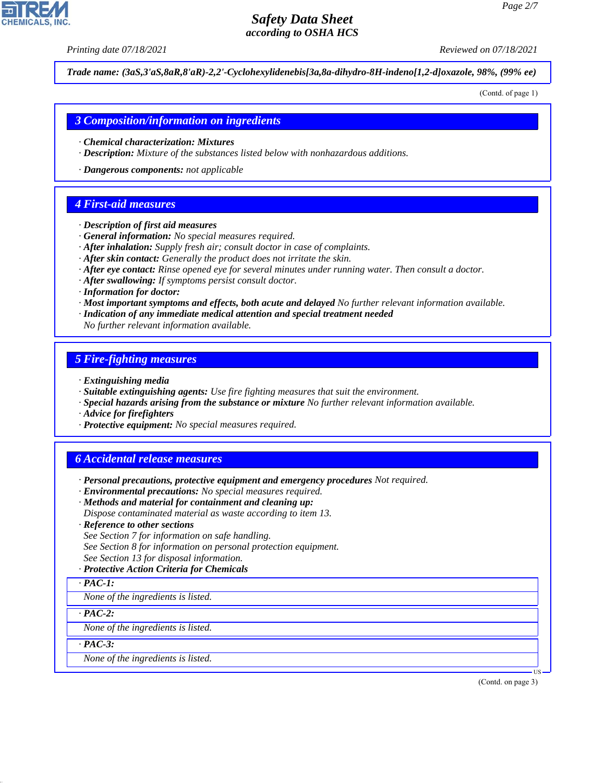*Printing date 07/18/2021 Reviewed on 07/18/2021*

*Trade name: (3aS,3'aS,8aR,8'aR)-2,2'-Cyclohexylidenebis[3a,8a-dihydro-8H-indeno[1,2-d]oxazole, 98%, (99% ee)*

(Contd. of page 1)

### *3 Composition/information on ingredients*

- *· Chemical characterization: Mixtures*
- *· Description: Mixture of the substances listed below with nonhazardous additions.*
- *· Dangerous components: not applicable*

## *4 First-aid measures*

- *· Description of first aid measures*
- *· General information: No special measures required.*
- *· After inhalation: Supply fresh air; consult doctor in case of complaints.*
- *· After skin contact: Generally the product does not irritate the skin.*
- *· After eye contact: Rinse opened eye for several minutes under running water. Then consult a doctor.*
- *· After swallowing: If symptoms persist consult doctor.*
- *· Information for doctor:*
- *· Most important symptoms and effects, both acute and delayed No further relevant information available.*
- *· Indication of any immediate medical attention and special treatment needed*
- *No further relevant information available.*

## *5 Fire-fighting measures*

- *· Extinguishing media*
- *· Suitable extinguishing agents: Use fire fighting measures that suit the environment.*
- *· Special hazards arising from the substance or mixture No further relevant information available.*
- *· Advice for firefighters*
- *· Protective equipment: No special measures required.*

## *6 Accidental release measures*

- *· Personal precautions, protective equipment and emergency procedures Not required.*
- *· Environmental precautions: No special measures required.*
- *· Methods and material for containment and cleaning up:*
- *Dispose contaminated material as waste according to item 13.*
- *· Reference to other sections*
- *See Section 7 for information on safe handling.*
- *See Section 8 for information on personal protection equipment.*
- *See Section 13 for disposal information.*

#### *· Protective Action Criteria for Chemicals*

*· PAC-1:*

*None of the ingredients is listed.*

*· PAC-2:*

*None of the ingredients is listed.*

*· PAC-3:*

44.1.1

*None of the ingredients is listed.*

(Contd. on page 3)

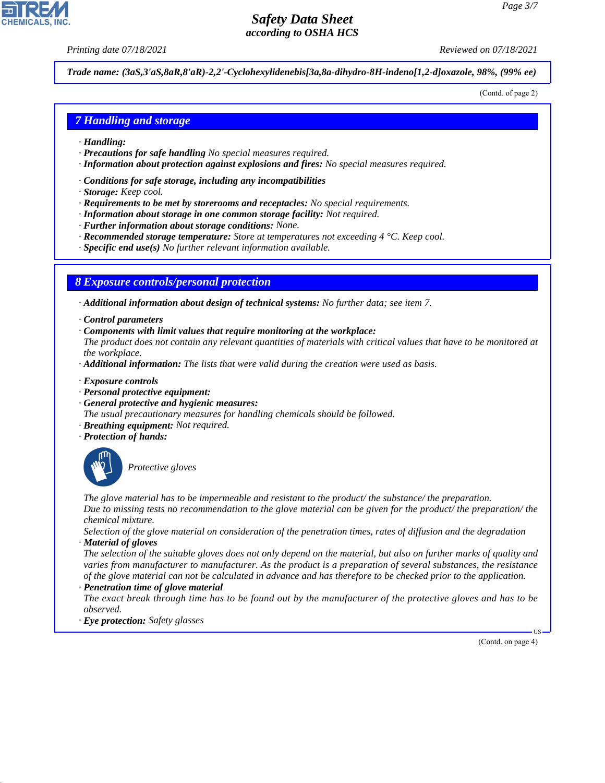*Printing date 07/18/2021 Reviewed on 07/18/2021*

*Trade name: (3aS,3'aS,8aR,8'aR)-2,2'-Cyclohexylidenebis[3a,8a-dihydro-8H-indeno[1,2-d]oxazole, 98%, (99% ee)*

(Contd. of page 2)

## *7 Handling and storage*

- *· Handling:*
- *· Precautions for safe handling No special measures required.*
- *· Information about protection against explosions and fires: No special measures required.*
- *· Conditions for safe storage, including any incompatibilities*
- *· Storage: Keep cool.*
- *· Requirements to be met by storerooms and receptacles: No special requirements.*
- *· Information about storage in one common storage facility: Not required.*
- *· Further information about storage conditions: None.*
- *· Recommended storage temperature: Store at temperatures not exceeding 4 °C. Keep cool.*
- *· Specific end use(s) No further relevant information available.*

### *8 Exposure controls/personal protection*

*· Additional information about design of technical systems: No further data; see item 7.*

- *· Control parameters*
- *· Components with limit values that require monitoring at the workplace:*

*The product does not contain any relevant quantities of materials with critical values that have to be monitored at the workplace.*

- *· Additional information: The lists that were valid during the creation were used as basis.*
- *· Exposure controls*
- *· Personal protective equipment:*
- *· General protective and hygienic measures:*
- *The usual precautionary measures for handling chemicals should be followed.*
- *· Breathing equipment: Not required.*
- *· Protection of hands:*



44.1.1

\_S*Protective gloves*

*The glove material has to be impermeable and resistant to the product/ the substance/ the preparation. Due to missing tests no recommendation to the glove material can be given for the product/ the preparation/ the chemical mixture.*

*Selection of the glove material on consideration of the penetration times, rates of diffusion and the degradation · Material of gloves*

*The selection of the suitable gloves does not only depend on the material, but also on further marks of quality and varies from manufacturer to manufacturer. As the product is a preparation of several substances, the resistance of the glove material can not be calculated in advance and has therefore to be checked prior to the application. · Penetration time of glove material*

*The exact break through time has to be found out by the manufacturer of the protective gloves and has to be observed.*

*· Eye protection: Safety glasses*

(Contd. on page 4)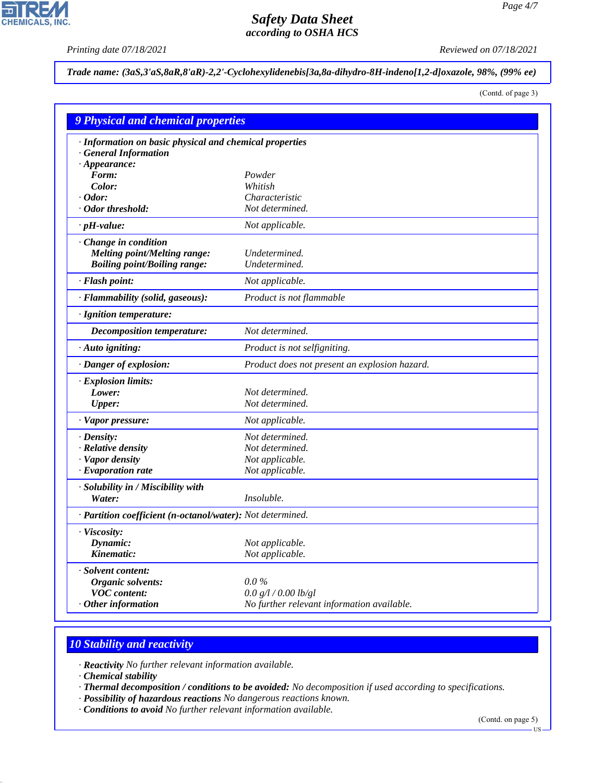$\overline{\phantom{a}}$ 

**CHEMICALS, INC.** 

*Printing date 07/18/2021 Reviewed on 07/18/2021*

*Trade name: (3aS,3'aS,8aR,8'aR)-2,2'-Cyclohexylidenebis[3a,8a-dihydro-8H-indeno[1,2-d]oxazole, 98%, (99% ee)*

(Contd. of page 3)

| <b>9 Physical and chemical properties</b>                  |                                               |  |
|------------------------------------------------------------|-----------------------------------------------|--|
| · Information on basic physical and chemical properties    |                                               |  |
| · General Information                                      |                                               |  |
| $\cdot$ Appearance:                                        |                                               |  |
| Form:                                                      | Powder                                        |  |
| Color:                                                     | Whitish                                       |  |
| $\cdot$ Odor:                                              | Characteristic                                |  |
| · Odor threshold:                                          | Not determined.                               |  |
| $\cdot$ pH-value:                                          | Not applicable.                               |  |
| · Change in condition                                      |                                               |  |
| <b>Melting point/Melting range:</b>                        | Undetermined.                                 |  |
| <b>Boiling point/Boiling range:</b>                        | Undetermined.                                 |  |
| · Flash point:                                             | Not applicable.                               |  |
| · Flammability (solid, gaseous):                           | Product is not flammable                      |  |
| · Ignition temperature:                                    |                                               |  |
| <b>Decomposition temperature:</b>                          | Not determined.                               |  |
| · Auto igniting:                                           | Product is not selfigniting.                  |  |
| · Danger of explosion:                                     | Product does not present an explosion hazard. |  |
| · Explosion limits:                                        |                                               |  |
| Lower:                                                     | Not determined.                               |  |
| <b>Upper:</b>                                              | Not determined.                               |  |
| · Vapor pressure:                                          | Not applicable.                               |  |
| $\cdot$ Density:                                           | Not determined.                               |  |
| · Relative density                                         | Not determined.                               |  |
| · Vapor density                                            | Not applicable.                               |  |
| · Evaporation rate                                         | Not applicable.                               |  |
| · Solubility in / Miscibility with                         |                                               |  |
| Water:                                                     | <i>Insoluble.</i>                             |  |
| · Partition coefficient (n-octanol/water): Not determined. |                                               |  |
| · Viscosity:                                               |                                               |  |
| Dynamic:                                                   | Not applicable.                               |  |
| Kinematic:                                                 | Not applicable.                               |  |
| · Solvent content:                                         |                                               |  |
| Organic solvents:                                          | $0.0\%$                                       |  |
| <b>VOC</b> content:                                        | 0.0 g/l / 0.00 lb/gl                          |  |
| $·$ Other information                                      | No further relevant information available.    |  |

# *10 Stability and reactivity*

*· Reactivity No further relevant information available.*

*· Chemical stability*

44.1.1

*· Thermal decomposition / conditions to be avoided: No decomposition if used according to specifications.*

- *· Possibility of hazardous reactions No dangerous reactions known.*
- *· Conditions to avoid No further relevant information available.*

(Contd. on page 5)

US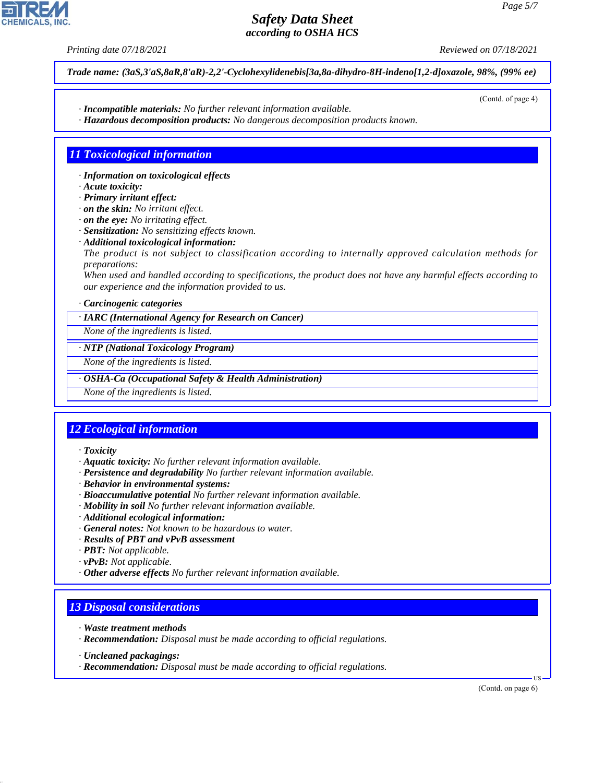*Printing date 07/18/2021 Reviewed on 07/18/2021*

(Contd. of page 4)

*Trade name: (3aS,3'aS,8aR,8'aR)-2,2'-Cyclohexylidenebis[3a,8a-dihydro-8H-indeno[1,2-d]oxazole, 98%, (99% ee)*

- *· Incompatible materials: No further relevant information available.*
- *· Hazardous decomposition products: No dangerous decomposition products known.*

# *11 Toxicological information*

- *· Information on toxicological effects*
- *· Acute toxicity:*
- *· Primary irritant effect:*
- *· on the skin: No irritant effect.*
- *· on the eye: No irritating effect.*
- *· Sensitization: No sensitizing effects known.*
- *· Additional toxicological information:*
- *The product is not subject to classification according to internally approved calculation methods for preparations:*

*When used and handled according to specifications, the product does not have any harmful effects according to our experience and the information provided to us.*

#### *· Carcinogenic categories*

*· IARC (International Agency for Research on Cancer)*

*None of the ingredients is listed.*

### *· NTP (National Toxicology Program)*

*None of the ingredients is listed.*

### *· OSHA-Ca (Occupational Safety & Health Administration)*

*None of the ingredients is listed.*

# *12 Ecological information*

### *· Toxicity*

- *· Aquatic toxicity: No further relevant information available.*
- *· Persistence and degradability No further relevant information available.*
- *· Behavior in environmental systems:*
- *· Bioaccumulative potential No further relevant information available.*
- *· Mobility in soil No further relevant information available.*
- *· Additional ecological information:*
- *· General notes: Not known to be hazardous to water.*
- *· Results of PBT and vPvB assessment*
- *· PBT: Not applicable.*
- *· vPvB: Not applicable.*
- *· Other adverse effects No further relevant information available.*

# *13 Disposal considerations*

- *· Waste treatment methods*
- *· Recommendation: Disposal must be made according to official regulations.*
- *· Uncleaned packagings:*

44.1.1

*· Recommendation: Disposal must be made according to official regulations.*

(Contd. on page 6)

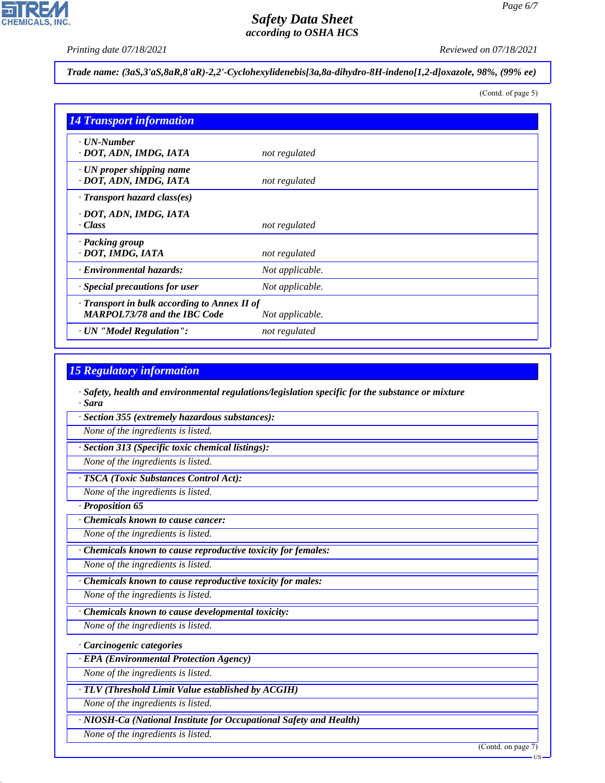$\overline{\phantom{a}}$ 

**CHEMICALS, INC.** 

*Printing date 07/18/2021 Reviewed on 07/18/2021*

*Trade name: (3aS,3'aS,8aR,8'aR)-2,2'-Cyclohexylidenebis[3a,8a-dihydro-8H-indeno[1,2-d]oxazole, 98%, (99% ee)*

(Contd. of page 5)

| <b>14 Transport information</b>                                                     |                 |
|-------------------------------------------------------------------------------------|-----------------|
| $\cdot$ UN-Number<br>· DOT, ADN, IMDG, IATA                                         | not regulated   |
| $\cdot$ UN proper shipping name<br>· DOT, ADN, IMDG, IATA                           | not regulated   |
| $\cdot$ Transport hazard class(es)                                                  |                 |
| · DOT, ADN, IMDG, IATA<br>$\cdot$ Class                                             | not regulated   |
| · Packing group<br>· DOT, IMDG, IATA                                                | not regulated   |
| · Environmental hazards:                                                            | Not applicable. |
| Special precautions for user                                                        | Not applicable. |
| · Transport in bulk according to Annex II of<br><b>MARPOL73/78 and the IBC Code</b> | Not applicable. |
| · UN "Model Regulation":                                                            | not regulated   |

## *15 Regulatory information*

*· Safety, health and environmental regulations/legislation specific for the substance or mixture · Sara*

*· Section 355 (extremely hazardous substances):*

*None of the ingredients is listed.*

*· Section 313 (Specific toxic chemical listings):*

*None of the ingredients is listed.*

*· TSCA (Toxic Substances Control Act):*

*None of the ingredients is listed.*

*· Proposition 65*

*· Chemicals known to cause cancer:*

*None of the ingredients is listed.*

*· Chemicals known to cause reproductive toxicity for females:*

*None of the ingredients is listed.*

*· Chemicals known to cause reproductive toxicity for males:*

*None of the ingredients is listed.*

*· Chemicals known to cause developmental toxicity:*

*None of the ingredients is listed.*

*· Carcinogenic categories*

*· EPA (Environmental Protection Agency)*

*None of the ingredients is listed.*

*· TLV (Threshold Limit Value established by ACGIH)*

*None of the ingredients is listed.*

*· NIOSH-Ca (National Institute for Occupational Safety and Health)*

*None of the ingredients is listed.*

44.1.1

(Contd. on page 7)

US